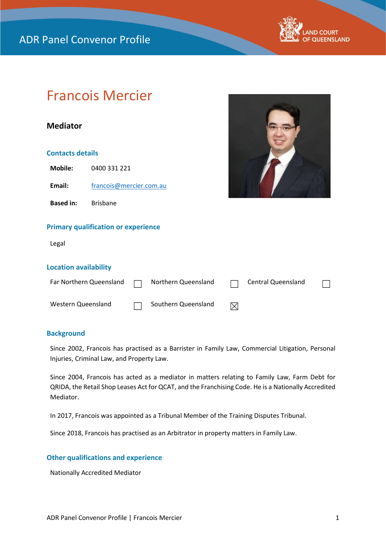

# Francois Mercier

## **Mediator**

#### **Contacts details**

**Mobile:** 0400 331 221

Email: [francois@mercier.com.au](mailto:francois@mercier.com.au)

**Based in:** Brisbane

#### **Primary qualification or experience**

Legal

#### **Location availability**

| Far Northern Queensland $\Box$ Northern Queensland $\Box$ Central Queensland |                       |  | $\Box$ |
|------------------------------------------------------------------------------|-----------------------|--|--------|
| Western Queensland                                                           | □ Southern Queensland |  |        |

#### **Background**

Since 2002, Francois has practised as a Barrister in Family Law, Commercial Litigation, Personal Injuries, Criminal Law, and Property Law.

Since 2004, Francois has acted as a mediator in matters relating to Family Law, Farm Debt for QRIDA, the Retail Shop Leases Act for QCAT, and the Franchising Code. He is a Nationally Accredited Mediator.

In 2017, Francois was appointed as a Tribunal Member of the Training Disputes Tribunal.

Since 2018, Francois has practised as an Arbitrator in property matters in Family Law.

### **Other qualifications and experience**

Nationally Accredited Mediator